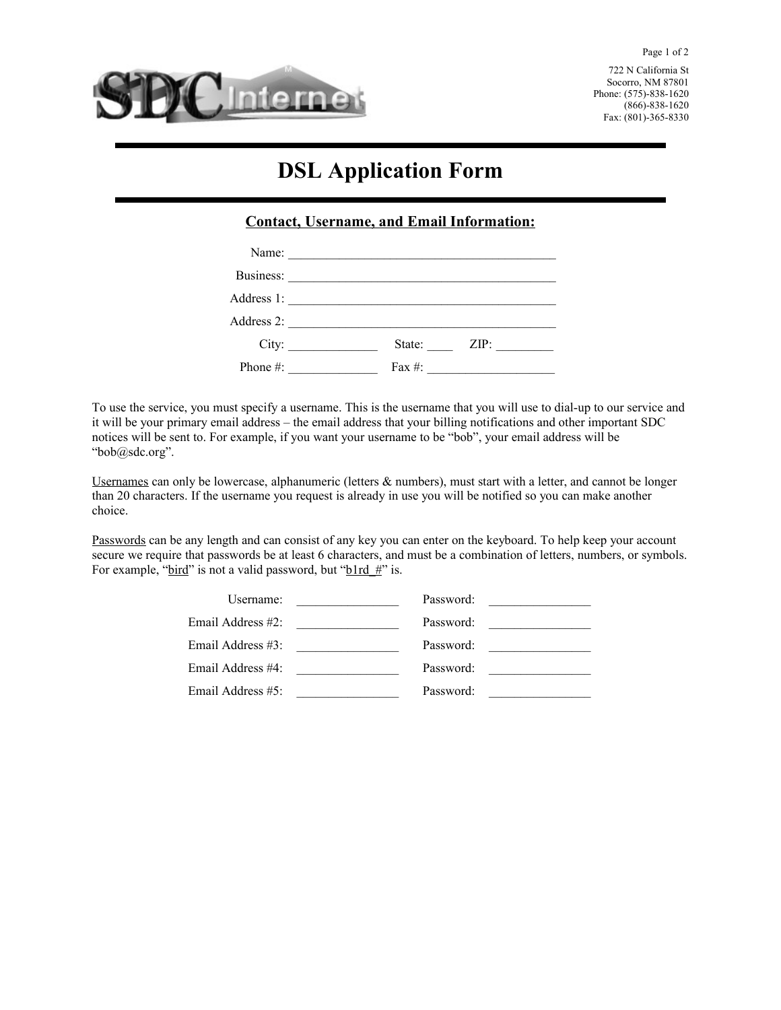

722 N California St Socorro, NM 87801 Phone: (575)-838-1620 (866)-838-1620 Fax: (801)-365-8330

# **DSL Application Form**

## **Contact, Username, and Email Information:**

| Address 1:   |                               |  |      |
|--------------|-------------------------------|--|------|
|              |                               |  |      |
| City:        | State:                        |  | ZIP: |
| Phone $\#$ : | Fax #: $\qquad \qquad \qquad$ |  |      |

To use the service, you must specify a username. This is the username that you will use to dial-up to our service and it will be your primary email address – the email address that your billing notifications and other important SDC notices will be sent to. For example, if you want your username to be "bob", your email address will be "bob@sdc.org".

Usernames can only be lowercase, alphanumeric (letters & numbers), must start with a letter, and cannot be longer than 20 characters. If the username you request is already in use you will be notified so you can make another choice.

Passwords can be any length and can consist of any key you can enter on the keyboard. To help keep your account secure we require that passwords be at least 6 characters, and must be a combination of letters, numbers, or symbols. For example, "bird" is not a valid password, but "blrd  $#$ " is.

| Username:         |                                                                                                                       | Password: | <u> 1980 - Jan Barbara, manazarta </u>        |
|-------------------|-----------------------------------------------------------------------------------------------------------------------|-----------|-----------------------------------------------|
| Email Address #2: | <u> 1980 - Jan Barbara Barbara, prima populație de la provincia de la provincia de la provincia de la provincia d</u> | Password: | <u> 1980 - Andrea Andrew Maria III (b. 19</u> |
| Email Address #3: |                                                                                                                       | Password: | the control of the control of the control of  |
| Email Address #4: |                                                                                                                       | Password: | <u> 1980 - Jan Alexandria (</u>               |
| Email Address #5: |                                                                                                                       | Password: |                                               |
|                   |                                                                                                                       |           |                                               |